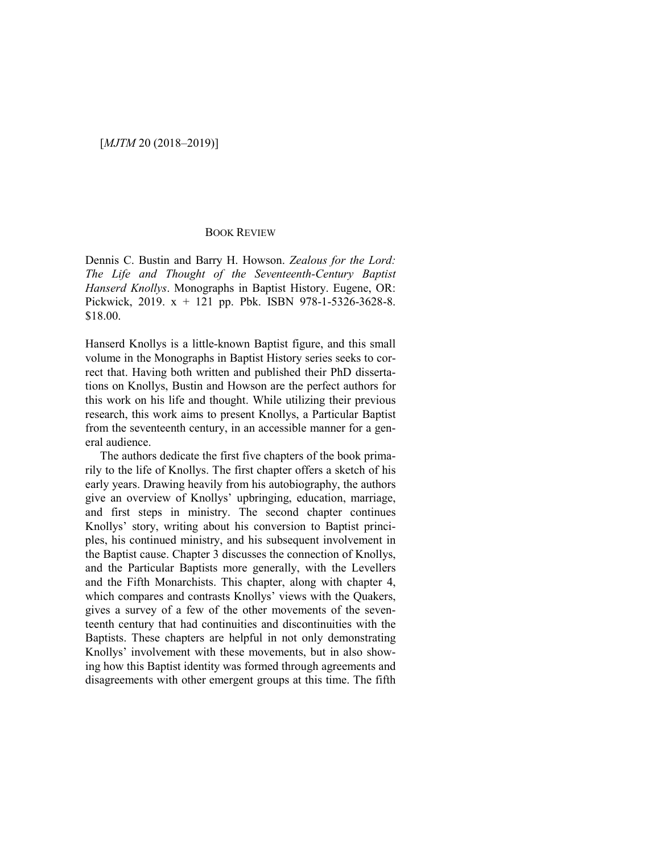## BOOK REVIEW

Dennis C. Bustin and Barry H. Howson. *Zealous for the Lord: The Life and Thought of the Seventeenth-Century Baptist Hanserd Knollys*. Monographs in Baptist History. Eugene, OR: Pickwick, 2019. x + 121 pp. Pbk. ISBN 978-1-5326-3628-8. \$18.00.

Hanserd Knollys is a little-known Baptist figure, and this small volume in the Monographs in Baptist History series seeks to correct that. Having both written and published their PhD dissertations on Knollys, Bustin and Howson are the perfect authors for this work on his life and thought. While utilizing their previous research, this work aims to present Knollys, a Particular Baptist from the seventeenth century, in an accessible manner for a general audience.

The authors dedicate the first five chapters of the book primarily to the life of Knollys. The first chapter offers a sketch of his early years. Drawing heavily from his autobiography, the authors give an overview of Knollys' upbringing, education, marriage, and first steps in ministry. The second chapter continues Knollys' story, writing about his conversion to Baptist principles, his continued ministry, and his subsequent involvement in the Baptist cause. Chapter 3 discusses the connection of Knollys, and the Particular Baptists more generally, with the Levellers and the Fifth Monarchists. This chapter, along with chapter 4, which compares and contrasts Knollys' views with the Quakers, gives a survey of a few of the other movements of the seventeenth century that had continuities and discontinuities with the Baptists. These chapters are helpful in not only demonstrating Knollys' involvement with these movements, but in also showing how this Baptist identity was formed through agreements and disagreements with other emergent groups at this time. The fifth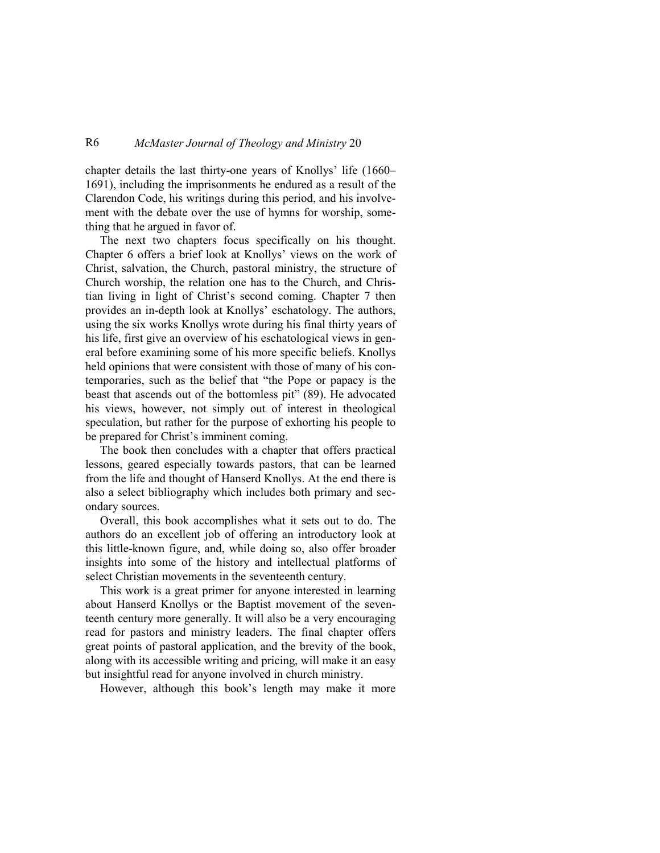## R6 *McMaster Journal of Theology and Ministry* 20

chapter details the last thirty-one years of Knollys' life (1660– 1691), including the imprisonments he endured as a result of the Clarendon Code, his writings during this period, and his involvement with the debate over the use of hymns for worship, something that he argued in favor of.

The next two chapters focus specifically on his thought. Chapter 6 offers a brief look at Knollys' views on the work of Christ, salvation, the Church, pastoral ministry, the structure of Church worship, the relation one has to the Church, and Christian living in light of Christ's second coming. Chapter 7 then provides an in-depth look at Knollys' eschatology. The authors, using the six works Knollys wrote during his final thirty years of his life, first give an overview of his eschatological views in general before examining some of his more specific beliefs. Knollys held opinions that were consistent with those of many of his contemporaries, such as the belief that "the Pope or papacy is the beast that ascends out of the bottomless pit" (89). He advocated his views, however, not simply out of interest in theological speculation, but rather for the purpose of exhorting his people to be prepared for Christ's imminent coming.

The book then concludes with a chapter that offers practical lessons, geared especially towards pastors, that can be learned from the life and thought of Hanserd Knollys. At the end there is also a select bibliography which includes both primary and secondary sources.

Overall, this book accomplishes what it sets out to do. The authors do an excellent job of offering an introductory look at this little-known figure, and, while doing so, also offer broader insights into some of the history and intellectual platforms of select Christian movements in the seventeenth century.

This work is a great primer for anyone interested in learning about Hanserd Knollys or the Baptist movement of the seventeenth century more generally. It will also be a very encouraging read for pastors and ministry leaders. The final chapter offers great points of pastoral application, and the brevity of the book, along with its accessible writing and pricing, will make it an easy but insightful read for anyone involved in church ministry.

However, although this book's length may make it more